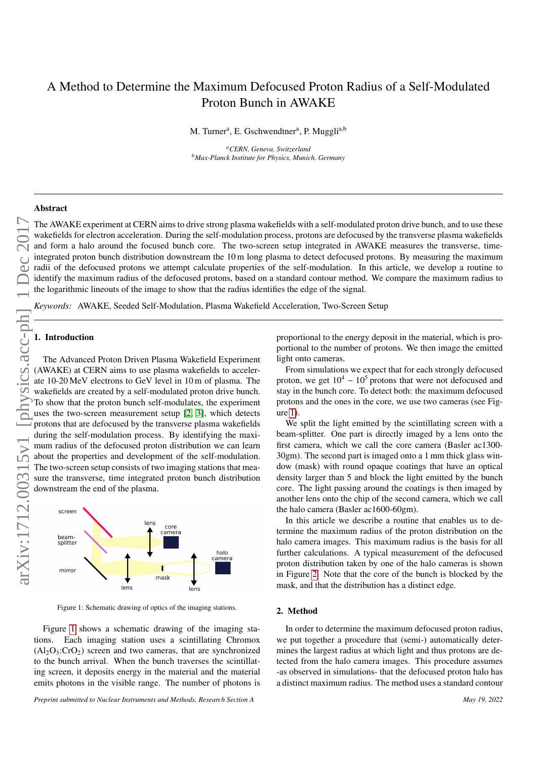# A Method to Determine the Maximum Defocused Proton Radius of a Self-Modulated Proton Bunch in AWAKE

M. Turner<sup>a</sup>, E. Gschwendtner<sup>a</sup>, P. Muggli<sup>a,b</sup>

*<sup>a</sup>CERN, Geneva, Switzerland <sup>b</sup>Max-Planck Institute for Physics, Munich, Germany*

## Abstract

The AWAKE experiment at CERN aims to the beam of the strong plasma wakefields with a self-modulated proton to the base and too and too and too and too and too and too and too and too and too and too and too and the celesc wakefields for electron acceleration. During the self-modulation process, protons are defocused by the transverse plasma wakefields and form a halo around the focused bunch core. The two-screen setup integrated in AWAKE measures the transverse, timeintegrated proton bunch distribution downstream the 10 m long plasma to detect defocused protons. By measuring the maximum radii of the defocused protons we attempt calculate properties of the self-modulation. In this article, we develop a routine to identify the maximum radius of the defocused protons, based on a standard contour method. We compare the maximum radius to the logarithmic lineouts of the image to show that the radius identifies the edge of the signal.

*Keywords:* AWAKE, Seeded Self-Modulation, Plasma Wakefield Acceleration, Two-Screen Setup

## 1. Introduction

The Advanced Proton Driven Plasma Wakefield Experiment (AWAKE) at CERN aims to use plasma wakefields to accelerate 10-20 MeV electrons to GeV level in 10 m of plasma. The wakefields are created by a self-modulated proton drive bunch. To show that the proton bunch self-modulates, the experiment uses the two-screen measurement setup [\[2,](#page-2-0) [3\]](#page-2-1), which detects protons that are defocused by the transverse plasma wakefields during the self-modulation process. By identifying the maximum radius of the defocused proton distribution we can learn about the properties and development of the self-modulation. The two-screen setup consists of two imaging stations that measure the transverse, time integrated proton bunch distribution downstream the end of the plasma.



<span id="page-0-0"></span>Figure 1: Schematic drawing of optics of the imaging stations.

Figure [1](#page-0-0) shows a schematic drawing of the imaging stations. Each imaging station uses a scintillating Chromox  $(A<sub>1</sub>, O<sub>3</sub>: CrO<sub>2</sub>)$  screen and two cameras, that are synchronized to the bunch arrival. When the bunch traverses the scintillating screen, it deposits energy in the material and the material emits photons in the visible range. The number of photons is

*Preprint submitted to Nuclear Instruments and Methods, Research Section A* May 19, 2022

proportional to the energy deposit in the material, which is proportional to the number of protons. We then image the emitted light onto cameras.

From simulations we expect that for each strongly defocused proton, we get  $10^4 - 10^5$  protons that were not defocused and stay in the bunch core. To detect both: the maximum defocused protons and the ones in the core, we use two cameras (see Figure [1\)](#page-0-0).

We split the light emitted by the scintillating screen with a beam-splitter. One part is directly imaged by a lens onto the first camera, which we call the core camera (Basler ac1300- 30gm). The second part is imaged onto a 1 mm thick glass window (mask) with round opaque coatings that have an optical density larger than 5 and block the light emitted by the bunch core. The light passing around the coatings is then imaged by another lens onto the chip of the second camera, which we call the halo camera (Basler ac1600-60gm).

In this article we describe a routine that enables us to determine the maximum radius of the proton distribution on the halo camera images. This maximum radius is the basis for all further calculations. A typical measurement of the defocused proton distribution taken by one of the halo cameras is shown in Figure [2.](#page-1-0) Note that the core of the bunch is blocked by the mask, and that the distribution has a distinct edge.

### <span id="page-0-1"></span>2. Method

In order to determine the maximum defocused proton radius, we put together a procedure that (semi-) automatically determines the largest radius at which light and thus protons are detected from the halo camera images. This procedure assumes -as observed in simulations- that the defocused proton halo has a distinct maximum radius. The method uses a standard contour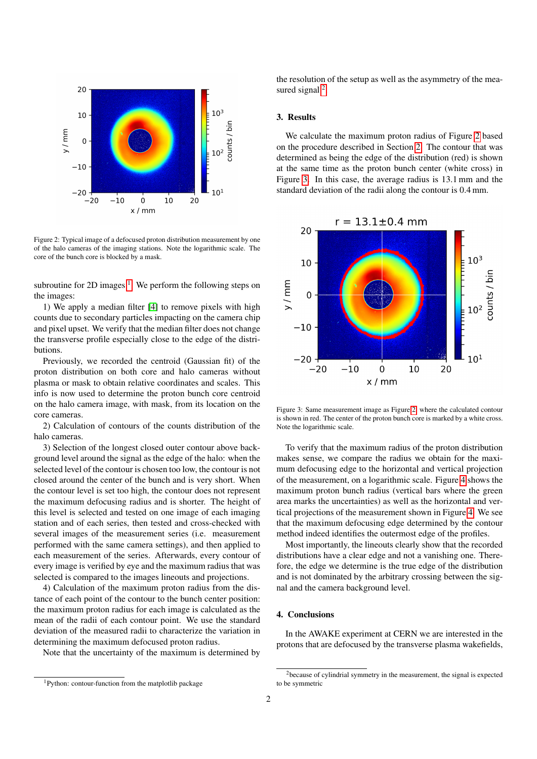

<span id="page-1-0"></span>Figure 2: Typical image of a defocused proton distribution measurement by one of the halo cameras of the imaging stations. Note the logarithmic scale. The core of the bunch core is blocked by a mask.

subroutine for 2D images  $<sup>1</sup>$  $<sup>1</sup>$  $<sup>1</sup>$ . We perform the following steps on</sup> the images:

1) We apply a median filter [\[4\]](#page-2-2) to remove pixels with high counts due to secondary particles impacting on the camera chip and pixel upset. We verify that the median filter does not change the transverse profile especially close to the edge of the distributions.

Previously, we recorded the centroid (Gaussian fit) of the proton distribution on both core and halo cameras without plasma or mask to obtain relative coordinates and scales. This info is now used to determine the proton bunch core centroid on the halo camera image, with mask, from its location on the core cameras.

2) Calculation of contours of the counts distribution of the halo cameras.

3) Selection of the longest closed outer contour above background level around the signal as the edge of the halo: when the selected level of the contour is chosen too low, the contour is not closed around the center of the bunch and is very short. When the contour level is set too high, the contour does not represent the maximum defocusing radius and is shorter. The height of this level is selected and tested on one image of each imaging station and of each series, then tested and cross-checked with several images of the measurement series (i.e. measurement performed with the same camera settings), and then applied to each measurement of the series. Afterwards, every contour of every image is verified by eye and the maximum radius that was selected is compared to the images lineouts and projections.

4) Calculation of the maximum proton radius from the distance of each point of the contour to the bunch center position: the maximum proton radius for each image is calculated as the mean of the radii of each contour point. We use the standard deviation of the measured radii to characterize the variation in determining the maximum defocused proton radius.

Note that the uncertainty of the maximum is determined by

the resolution of the setup as well as the asymmetry of the mea-sured signal<sup>[2](#page-1-2)</sup>.

## 3. Results

We calculate the maximum proton radius of Figure [2](#page-1-0) based on the procedure described in Section [2.](#page-0-1) The contour that was determined as being the edge of the distribution (red) is shown at the same time as the proton bunch center (white cross) in Figure [3.](#page-1-3) In this case, the average radius is 13.1 mm and the standard deviation of the radii along the contour is 0.4 mm.



<span id="page-1-3"></span>Figure 3: Same measurement image as Figure [2,](#page-1-0) where the calculated contour is shown in red. The center of the proton bunch core is marked by a white cross. Note the logarithmic scale.

To verify that the maximum radius of the proton distribution makes sense, we compare the radius we obtain for the maximum defocusing edge to the horizontal and vertical projection of the measurement, on a logarithmic scale. Figure [4](#page-2-3) shows the maximum proton bunch radius (vertical bars where the green area marks the uncertainties) as well as the horizontal and vertical projections of the measurement shown in Figure [4.](#page-2-3) We see that the maximum defocusing edge determined by the contour method indeed identifies the outermost edge of the profiles.

Most importantly, the lineouts clearly show that the recorded distributions have a clear edge and not a vanishing one. Therefore, the edge we determine is the true edge of the distribution and is not dominated by the arbitrary crossing between the signal and the camera background level.

### 4. Conclusions

In the AWAKE experiment at CERN we are interested in the protons that are defocused by the transverse plasma wakefields,

<span id="page-1-1"></span><sup>1</sup>Python: contour-function from the matplotlib package

<span id="page-1-2"></span><sup>&</sup>lt;sup>2</sup>because of cylindrial symmetry in the measurement, the signal is expected to be symmetric